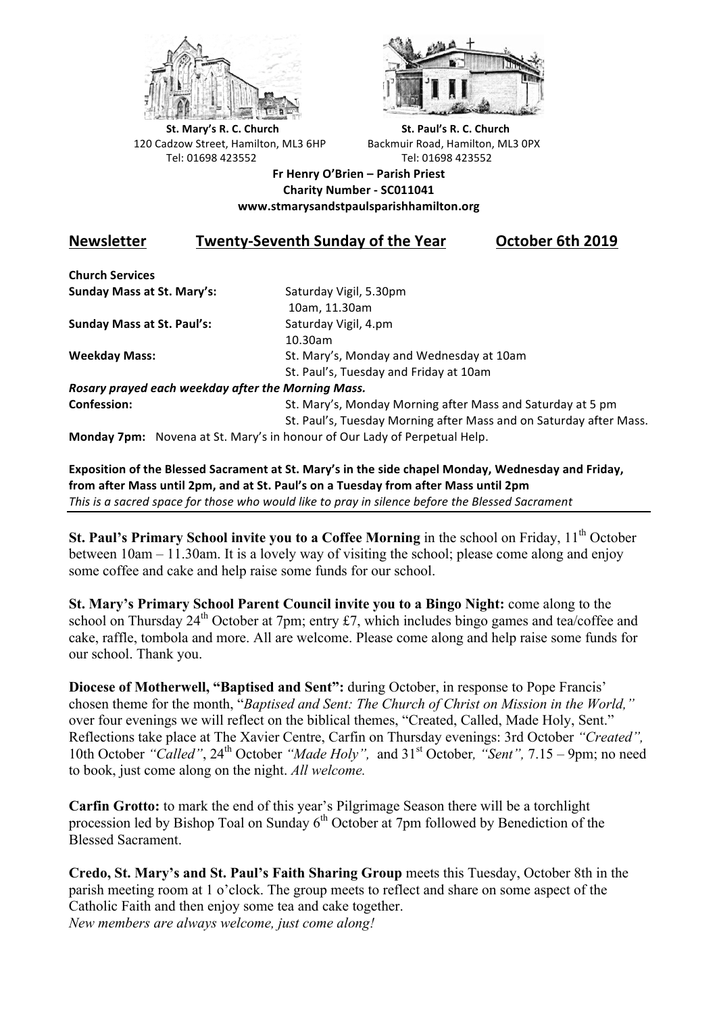



**St.** Mary's R. C. Church St. Paul's R. C. Church 120 Cadzow Street, Hamilton, ML3 6HP Backmuir Road, Hamilton, ML3 0PX Tel: 01698 423552 Tel: 01698 423552

**Fr Henry O'Brien – Parish Priest Charity Number - SC011041 www.stmarysandstpaulsparishhamilton.org**

# **Newsletter Twenty-Seventh Sunday of the Year October 6th 2019**

**Church Services Sunday Mass at St. Mary's:** Saturday Vigil, 5.30pm

**Sunday Mass at St. Paul's:** Saturday Vigil, 4.pm

 10am, 11.30am 10.30am **Weekday Mass:** St. Mary's, Monday and Wednesday at 10am St. Paul's, Tuesday and Friday at 10am

*Rosary prayed each weekday after the Morning Mass.*

**Confession:** St. Mary's, Monday Morning after Mass and Saturday at 5 pm St. Paul's, Tuesday Morning after Mass and on Saturday after Mass.

**Monday 7pm:** Novena at St. Mary's in honour of Our Lady of Perpetual Help.

**Exposition of the Blessed Sacrament at St. Mary's in the side chapel Monday, Wednesday and Friday,** from after Mass until 2pm, and at St. Paul's on a Tuesday from after Mass until 2pm This is a sacred space for those who would like to pray in silence before the Blessed Sacrament

**St. Paul's Primary School invite you to a Coffee Morning** in the school on Friday, 11<sup>th</sup> October between 10am – 11.30am. It is a lovely way of visiting the school; please come along and enjoy some coffee and cake and help raise some funds for our school.

**St. Mary's Primary School Parent Council invite you to a Bingo Night:** come along to the school on Thursday  $24<sup>th</sup>$  October at 7pm; entry £7, which includes bingo games and tea/coffee and cake, raffle, tombola and more. All are welcome. Please come along and help raise some funds for our school. Thank you.

**Diocese of Motherwell, "Baptised and Sent":** during October, in response to Pope Francis' chosen theme for the month, "*Baptised and Sent: The Church of Christ on Mission in the World,"*  over four evenings we will reflect on the biblical themes, "Created, Called, Made Holy, Sent." Reflections take place at The Xavier Centre, Carfin on Thursday evenings: 3rd October *"Created",* 10th October "Called", 24<sup>th</sup> October "Made Holy", and 31<sup>st</sup> October, "Sent", 7.15 – 9pm; no need to book, just come along on the night. *All welcome.*

**Carfin Grotto:** to mark the end of this year's Pilgrimage Season there will be a torchlight procession led by Bishop Toal on Sunday  $6<sup>th</sup>$  October at 7pm followed by Benediction of the Blessed Sacrament.

**Credo, St. Mary's and St. Paul's Faith Sharing Group** meets this Tuesday, October 8th in the parish meeting room at 1 o'clock. The group meets to reflect and share on some aspect of the Catholic Faith and then enjoy some tea and cake together. *New members are always welcome, just come along!*